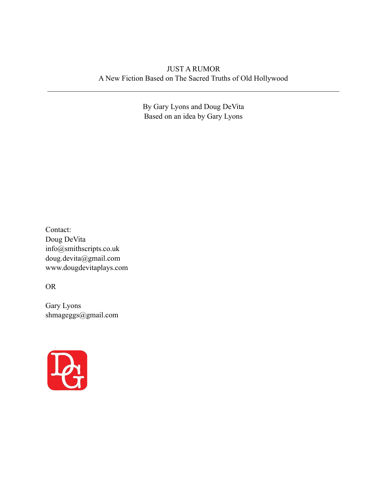# JUST A RUMOR A New Fiction Based on The Sacred Truths of Old Hollywood

 $\mathcal{L}_\mathcal{L} = \{ \mathcal{L}_\mathcal{L} = \{ \mathcal{L}_\mathcal{L} = \{ \mathcal{L}_\mathcal{L} = \{ \mathcal{L}_\mathcal{L} = \{ \mathcal{L}_\mathcal{L} = \{ \mathcal{L}_\mathcal{L} = \{ \mathcal{L}_\mathcal{L} = \{ \mathcal{L}_\mathcal{L} = \{ \mathcal{L}_\mathcal{L} = \{ \mathcal{L}_\mathcal{L} = \{ \mathcal{L}_\mathcal{L} = \{ \mathcal{L}_\mathcal{L} = \{ \mathcal{L}_\mathcal{L} = \{ \mathcal{L}_\mathcal{$ 

By Gary Lyons and Doug DeVita Based on an idea by Gary Lyons

Contact: Doug DeVita info@smithscripts.co.uk doug.devita@gmail.com www.dougdevitaplays.com

OR

Gary Lyons shmageggs@gmail.com

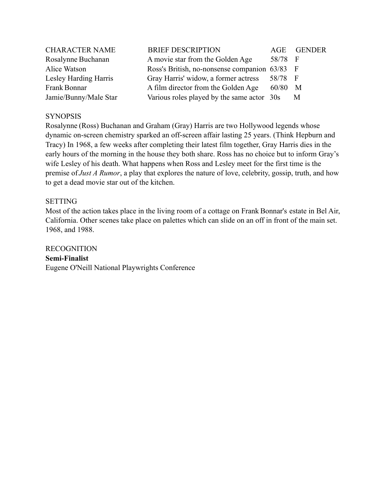| <b>CHARACTER NAME</b> | <b>BRIEF DESCRIPTION</b>                      | AGE       | <b>GENDER</b>  |
|-----------------------|-----------------------------------------------|-----------|----------------|
| Rosalynne Buchanan    | A movie star from the Golden Age              | 58/78     | $\overline{F}$ |
| Alice Watson          | Ross's British, no-nonsense companion 63/83 F |           |                |
| Lesley Harding Harris | Gray Harris' widow, a former actress          | 58/78 F   |                |
| Frank Bonnar          | A film director from the Golden Age           | $60/80$ M |                |
| Jamie/Bunny/Male Star | Various roles played by the same actor 30s    |           | M              |

# **SYNOPSIS**

Rosalynne (Ross) Buchanan and Graham (Gray) Harris are two Hollywood legends whose dynamic on-screen chemistry sparked an off-screen affair lasting 25 years. (Think Hepburn and Tracy) In 1968, a few weeks after completing their latest film together, Gray Harris dies in the early hours of the morning in the house they both share. Ross has no choice but to inform Gray's wife Lesley of his death. What happens when Ross and Lesley meet for the first time is the premise of *Just A Rumor*, a play that explores the nature of love, celebrity, gossip, truth, and how to get a dead movie star out of the kitchen.

## SETTING

Most of the action takes place in the living room of a cottage on Frank Bonnar's estate in Bel Air, California. Other scenes take place on palettes which can slide on an off in front of the main set. 1968, and 1988.

RECOGNITION **Semi-Finalist** Eugene O'Neill National Playwrights Conference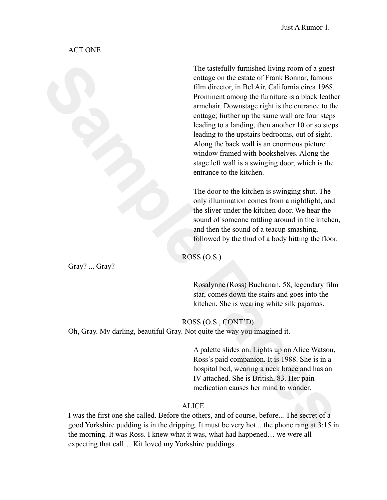## ACT ONE

The tastefully furnished living room of a guest<br>
onling on the cslue of Farm Roman, furnous<br>
film director, in Bel Air, California clica 1968.<br>
Frommination momentum furnous is a blued lication<br>
annehait. Downstage right i The tastefully furnished living room of a guest cottage on the estate of Frank Bonnar, famous film director, in Bel Air, California circa 1968. Prominent among the furniture is a black leather armchair. Downstage right is the entrance to the cottage; further up the same wall are four steps leading to a landing, then another 10 or so steps leading to the upstairs bedrooms, out of sight. Along the back wall is an enormous picture window framed with bookshelves. Along the stage left wall is a swinging door, which is the entrance to the kitchen.

The door to the kitchen is swinging shut. The only illumination comes from a nightlight, and the sliver under the kitchen door. We hear the sound of someone rattling around in the kitchen. and then the sound of a teacup smashing, followed by the thud of a body hitting the floor.

ROSS (O.S.)

Gray? ... Gray?

Rosalynne (Ross) Buchanan, 58, legendary film star, comes down the stairs and goes into the kitchen. She is wearing white silk pajamas.

ROSS (O.S., CONT'D) Oh, Gray. My darling, beautiful Gray. Not quite the way you imagined it.

> A palette slides on. Lights up on Alice Watson, Ross's paid companion. It is 1988. She is in a hospital bed, wearing a neck brace and has an IV attached. She is British, 83. Her pain medication causes her mind to wander.

# ALICE

I was the first one she called. Before the others, and of course, before... The secret of a good Yorkshire pudding is in the dripping. It must be very hot... the phone rang at 3:15 in the morning. It was Ross. I knew what it was, what had happened… we were all expecting that call… Kit loved my Yorkshire puddings.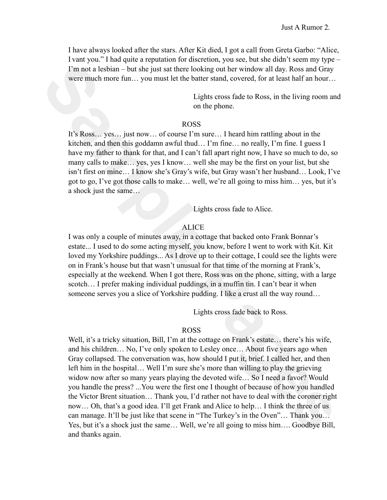I have always looked after the stars. After Kit died, I got a call from Greta Garbo: "Alice, I vant you." I had quite a reputation for discretion, you see, but she didn't seem my type – I'm not a lesbian – but she just sat there looking out her window all day. Ross and Gray were much more fun... you must let the batter stand, covered, for at least half an hour...

> Lights cross fade to Ross, in the living room and on the phone.

### ROSS

It's Ross… yes… just now… of course I'm sure… I heard him rattling about in the kitchen, and then this goddamn awful thud… I'm fine… no really, I'm fine. I guess I have my father to thank for that, and I can't fall apart right now, I have so much to do, so many calls to make… yes, yes I know… well she may be the first on your list, but she isn't first on mine… I know she's Gray's wife, but Gray wasn't her husband… Look, I've got to go, I've got those calls to make… well, we're all going to miss him… yes, but it's a shock just the same…

Lights cross fade to Alice.

### ALICE

I was only a couple of minutes away, in a cottage that backed onto Frank Bonnar's estate... I used to do some acting myself, you know, before I went to work with Kit. Kit loved my Yorkshire puddings... As I drove up to their cottage, I could see the lights were on in Frank's house but that wasn't unusual for that time of the morning at Frank's, especially at the weekend. When I got there, Ross was on the phone, sitting, with a large scotch… I prefer making individual puddings, in a muffin tin. I can't bear it when someone serves you a slice of Yorkshire pudding. I like a crust all the way round...

Lights cross fade back to Ross.

#### ROSS

Tan not a looking – but she just start here looking out her window all day. Research of the main start of the main start of the transfer of the main start and the start of the start of the start of the start of the start o Well, it's a tricky situation, Bill, I'm at the cottage on Frank's estate... there's his wife, and his children… No, I've only spoken to Lesley once… About five years ago when Gray collapsed. The conversation was, how should I put it, brief. I called her, and then left him in the hospital… Well I'm sure she's more than willing to play the grieving widow now after so many years playing the devoted wife... So I need a favor? Would you handle the press? ...You were the first one I thought of because of how you handled the Victor Brent situation… Thank you, I'd rather not have to deal with the coroner right now… Oh, that's a good idea. I'll get Frank and Alice to help… I think the three of us can manage. It'll be just like that scene in "The Turkey's in the Oven"… Thank you… Yes, but it's a shock just the same… Well, we're all going to miss him…. Goodbye Bill, and thanks again.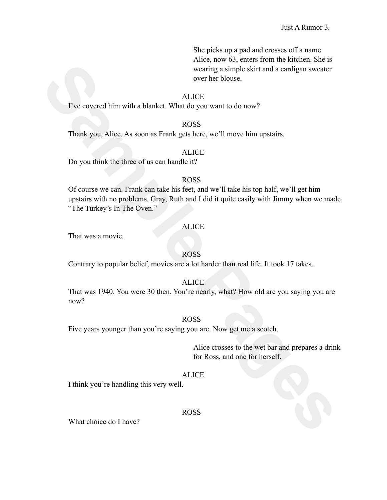She picks up a pad and crosses off a name. Alice, now 63, enters from the kitchen. She is wearing a simple skirt and a cardigan sweater over her blouse.

### ALICE

I've covered him with a blanket. What do you want to do now?

### ROSS

Thank you, Alice. As soon as Frank gets here, we'll move him upstairs.

### ALICE

Do you think the three of us can handle it?

### ROSS

Experimentation with a blanket. What CCE<br>
Sample Paisphe skirt and a cardigan sweater<br>
The covered him with a blanket. What do you want to do now?<br> **SAMPLE AS SAMPLE PAGES**<br>
Thank you, Alice, As soon as Frank gets here, we Of course we can. Frank can take his feet, and we'll take his top half, we'll get him upstairs with no problems. Gray, Ruth and I did it quite easily with Jimmy when we made "The Turkey's In The Oven."

### ALICE

That was a movie.

## ROSS

Contrary to popular belief, movies are a lot harder than real life. It took 17 takes.

# **ALICE**

That was 1940. You were 30 then. You're nearly, what? How old are you saying you are now?

## ROSS

Five years younger than you're saying you are. Now get me a scotch.

Alice crosses to the wet bar and prepares a drink for Ross, and one for herself.

## **ALICE**

I think you're handling this very well.

### ROSS

What choice do I have?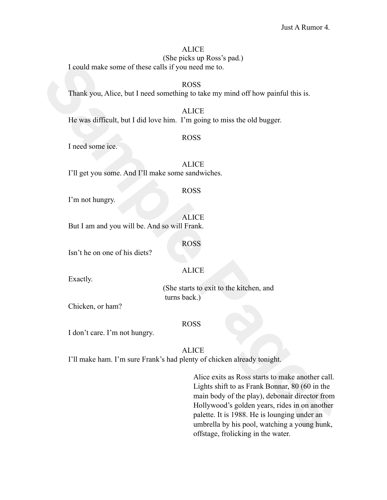# ALICE

(She picks up Ross's pad.)

I could make some of these calls if you need me to.

ROSS Thank you, Alice, but I need something to take my mind off how painful this is.

ALICE He was difficult, but I did love him. I'm going to miss the old bugger.

### ROSS

I need some ice.

**ALICE** I'll get you some. And I'll make some sandwiches.

### ROSS

I'm not hungry.

ALICE But I am and you will be. And so will Frank.

ROSS

Isn't he on one of his diets?

## ALICE

Exactly.

(She starts to exit to the kitchen, and turns back.)

Chicken, or ham?

## ROSS

I don't care. I'm not hungry.

## ALICE

I'll make ham. I'm sure Frank's had plenty of chicken already tonight.

**Sample 11**<br> **Sample Pages**<br> **Sample Pages**<br> **Sample Pages**<br> **Sample Pages**<br> **Sample Pages**<br> **Sample Pages**<br> **Sample Pages**<br> **Sample Pages**<br> **Sample Pages**<br> **Sample Pages**<br> **Sample Pages**<br> **Sample Pages**<br> **Sample Pages**<br> Alice exits as Ross starts to make another call. Lights shift to as Frank Bonnar, 80 (60 in the main body of the play), debonair director from Hollywood's golden years, rides in on another palette. It is 1988. He is lounging under an umbrella by his pool, watching a young hunk, offstage, frolicking in the water.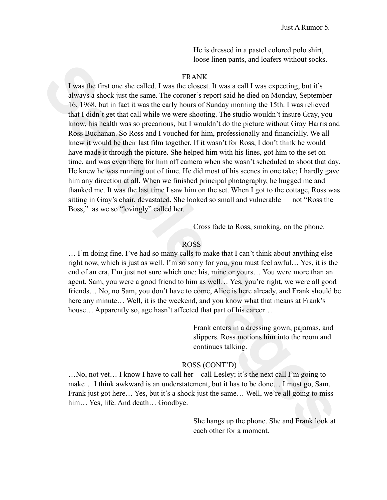He is dressed in a pastel colored polo shirt, loose linen pants, and loafers without socks.

## FRANK

**EVANGE THE SET AND SET UP: FRANGE SET AND SET AND SET AND SET AND SET AND SET AND SET AND SET AND SET AND SET AND SET AND SET AND SET AND SET AND SET AND SET AND SET AND SET AND SET AND SET AND SET AND SET AND SET AND S** I was the first one she called. I was the closest. It was a call I was expecting, but it's always a shock just the same. The coroner's report said he died on Monday, September 16, 1968, but in fact it was the early hours of Sunday morning the 15th. I was relieved that I didn't get that call while we were shooting. The studio wouldn't insure Gray, you know, his health was so precarious, but I wouldn't do the picture without Gray Harris and Ross Buchanan. So Ross and I vouched for him, professionally and financially. We all knew it would be their last film together. If it wasn't for Ross, I don't think he would have made it through the picture. She helped him with his lines, got him to the set on time, and was even there for him off camera when she wasn't scheduled to shoot that day. He knew he was running out of time. He did most of his scenes in one take; I hardly gave him any direction at all. When we finished principal photography, he hugged me and thanked me. It was the last time I saw him on the set. When I got to the cottage, Ross was sitting in Gray's chair, devastated. She looked so small and vulnerable — not "Ross the Boss," as we so "lovingly" called her.

Cross fade to Ross, smoking, on the phone.

## ROSS

… I'm doing fine. I've had so many calls to make that I can't think about anything else right now, which is just as well. I'm so sorry for you, you must feel awful… Yes, it is the end of an era, I'm just not sure which one: his, mine or yours… You were more than an agent, Sam, you were a good friend to him as well… Yes, you're right, we were all good friends… No, no Sam, you don't have to come, Alice is here already, and Frank should be here any minute… Well, it is the weekend, and you know what that means at Frank's house... Apparently so, age hasn't affected that part of his career...

> Frank enters in a dressing gown, pajamas, and slippers. Ross motions him into the room and continues talking.

### ROSS (CONT'D)

…No, not yet… I know I have to call her – call Lesley; it's the next call I'm going to make… I think awkward is an understatement, but it has to be done… I must go, Sam, Frank just got here... Yes, but it's a shock just the same... Well, we're all going to miss him... Yes, life. And death... Goodbye.

> She hangs up the phone. She and Frank look at each other for a moment.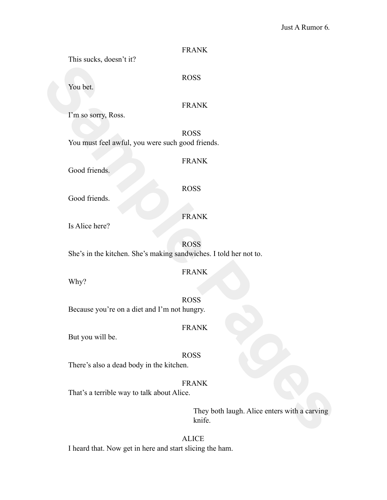### Just A Rumor 6.

| THIS SUCKS, GOVSH VII.                                                           |                                                        |  |
|----------------------------------------------------------------------------------|--------------------------------------------------------|--|
| You bet.                                                                         | <b>ROSS</b>                                            |  |
| I'm so sorry, Ross.                                                              | <b>FRANK</b>                                           |  |
| You must feel awful, you were such good friends.                                 | <b>ROSS</b>                                            |  |
| Good friends.                                                                    | <b>FRANK</b>                                           |  |
| Good friends.                                                                    | <b>ROSS</b>                                            |  |
| Is Alice here?                                                                   | <b>FRANK</b>                                           |  |
| <b>ROSS</b><br>She's in the kitchen. She's making sandwiches. I told her not to. |                                                        |  |
| Why?                                                                             | <b>FRANK</b>                                           |  |
| Because you're on a diet and I'm not hungry.                                     | <b>ROSS</b>                                            |  |
| But you will be.                                                                 | <b>FRANK</b>                                           |  |
| There's also a dead body in the kitchen.                                         | <b>ROSS</b>                                            |  |
| That's a terrible way to talk about Alice.                                       | <b>FRANK</b>                                           |  |
|                                                                                  | They both laugh. Alice enters with a carving<br>knife. |  |
|                                                                                  |                                                        |  |

FRANK

## FRANK

This sucks, doesn't it?

# FRANK

ALICE I heard that. Now get in here and start slicing the ham.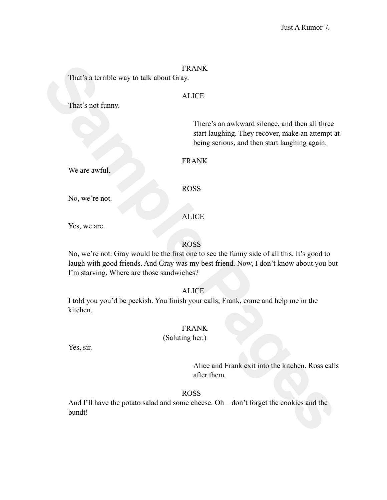That's a terrible way to talk about Gray.

## ALICE

That's not funny.

There's an awkward silence, and then all three start laughing. They recover, make an attempt at being serious, and then start laughing again.

## FRANK

We are awful.

ROSS

ALICE

No, we're not.

Yes, we are.

ROSS

Finar's a terrible way to talk about Gray.<br>
That's not funny.<br> **Sample Pages**<br> **Sample Pages**<br> **Sample Pages Alling Sample Pages is an awkward silence, and then all three star shares and then all three star shares in a ser** No, we're not. Gray would be the first one to see the funny side of all this. It's good to laugh with good friends. And Gray was my best friend. Now, I don't know about you but I'm starving. Where are those sandwiches?

ALICE

I told you you'd be peckish. You finish your calls; Frank, come and help me in the kitchen.

# FRANK

(Saluting her.)

Yes, sir.

Alice and Frank exit into the kitchen. Ross calls after them.

# ROSS

And I'll have the potato salad and some cheese. Oh – don't forget the cookies and the bundt!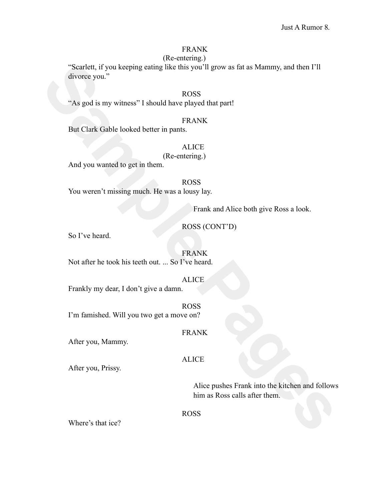(Re-entering.)

**Samtett if you keeping enting like this you'fl grow as fat as Mammy, and then I'll<br>divorce you."<br>
"As god is my witness" I should have played that part!<br>
But Clark Gable looked better in pants.<br>
H.C.C.<br>
But Clark Gable lo** "Scarlett, if you keeping eating like this you'll grow as fat as Mammy, and then I'll divorce you."

# ROSS

"As god is my witness" I should have played that part!

## FRANK

But Clark Gable looked better in pants.

## **ALICE**

(Re-entering.)

And you wanted to get in them.

ROSS You weren't missing much. He was a lousy lay.

Frank and Alice both give Ross a look.

ROSS (CONT'D)

So I've heard.

FRANK Not after he took his teeth out. ... So I've heard.

Frankly my dear, I don't give a damn.

ROSS I'm famished. Will you two get a move on?

After you, Mammy.

ALICE

FRANK

ALICE

After you, Prissy.

Alice pushes Frank into the kitchen and follows him as Ross calls after them.

ROSS

Where's that ice?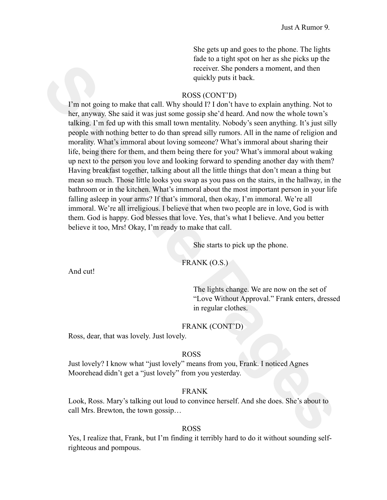She gets up and goes to the phone. The lights fade to a tight spot on her as she picks up the receiver. She ponders a moment, and then quickly puts it back.

### ROSS (CONT'D)

**Sample The Mage State State State State State State State State State State State State State State State State State State State State State State State State State State State State State State State State State State S** I'm not going to make that call. Why should I? I don't have to explain anything. Not to her, anyway. She said it was just some gossip she'd heard. And now the whole town's talking. I'm fed up with this small town mentality. Nobody's seen anything. It's just silly people with nothing better to do than spread silly rumors. All in the name of religion and morality. What's immoral about loving someone? What's immoral about sharing their life, being there for them, and them being there for you? What's immoral about waking up next to the person you love and looking forward to spending another day with them? Having breakfast together, talking about all the little things that don't mean a thing but mean so much. Those little looks you swap as you pass on the stairs, in the hallway, in the bathroom or in the kitchen. What's immoral about the most important person in your life falling asleep in your arms? If that's immoral, then okay, I'm immoral. We're all immoral. We're all irreligious. I believe that when two people are in love, God is with them. God is happy. God blesses that love. Yes, that's what I believe. And you better believe it too, Mrs! Okay, I'm ready to make that call.

She starts to pick up the phone.

#### FRANK (O.S.)

And cut!

The lights change. We are now on the set of "Love Without Approval." Frank enters, dressed in regular clothes.

## FRANK (CONT'D)

Ross, dear, that was lovely. Just lovely.

### ROSS

Just lovely? I know what "just lovely" means from you, Frank. I noticed Agnes Moorehead didn't get a "just lovely" from you yesterday.

#### FRANK

Look, Ross. Mary's talking out loud to convince herself. And she does. She's about to call Mrs. Brewton, the town gossip…

### ROSS

Yes, I realize that, Frank, but I'm finding it terribly hard to do it without sounding selfrighteous and pompous.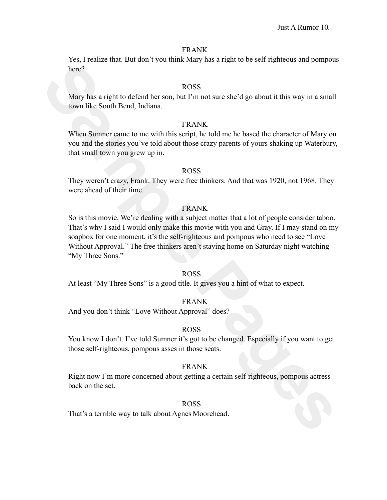Yes, I realize that. But don't you think Mary has a right to be self-righteous and pompous here?

## ROSS

Mary has a right to defend her son, but I'm not sure she'd go about it this way in a small town like South Bend, Indiana.

### FRANK

When Sumner came to me with this script, he told me he based the character of Mary on you and the stories you've told about those crazy parents of yours shaking up Waterbury, that small town you grew up in.

### ROSS

They weren't crazy, Frank. They were free thinkers. And that was 1920, not 1968. They were ahead of their time.

## FRANK

Extract that a starting that the scale of the starting that the starting that the starting theorem is the starting of the starting term of the scale of the starting term of the starting term of the scale of the starting te So is this movie. We're dealing with a subject matter that a lot of people consider taboo. That's why I said I would only make this movie with you and Gray. If I may stand on my soapbox for one moment, it's the self-righteous and pompous who need to see "Love Without Approval." The free thinkers aren't staying home on Saturday night watching "My Three Sons."

## ROSS

At least "My Three Sons" is a good title. It gives you a hint of what to expect.

## FRANK

And you don't think "Love Without Approval" does?

### ROSS

You know I don't. I've told Sumner it's got to be changed. Especially if you want to get those self-righteous, pompous asses in those seats.

### FRANK

Right now I'm more concerned about getting a certain self-righteous, pompous actress back on the set.

### ROSS

That's a terrible way to talk about Agnes Moorehead.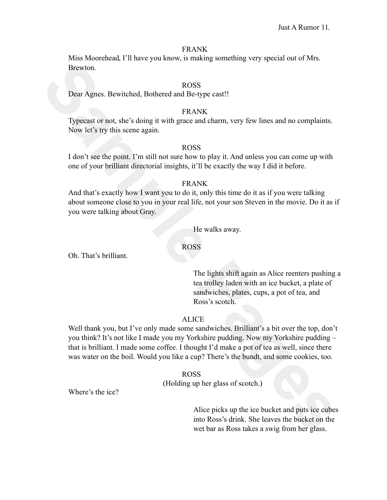Miss Moorehead, I'll have you know, is making something very special out of Mrs. Brewton.

### ROSS

Dear Agnes. Bewitched, Bothered and Be-type cast!!

### FRANK

Typecast or not, she's doing it with grace and charm, very few lines and no complaints. Now let's try this scene again.

#### ROSS

I don't see the point. I'm still not sure how to play it. And unless you can come up with one of your brilliant directorial insights, it'll be exactly the way I did it before.

### FRANK

And that's exactly how I want you to do it, only this time do it as if you were talking about someone close to you in your real life, not your son Steven in the movie. Do it as if you were talking about Gray.

He walks away.

## ROSS

Oh. That's brilliant.

The lights shift again as Alice reenters pushing a tea trolley laden with an ice bucket, a plate of sandwiches, plates, cups, a pot of tea, and Ross's scotch.

## ALICE

Browton.<br> **Sample Pages**<br> **Sample Pages**<br> **Sample Pages**<br> **Sample Pages**<br> **Sample Pages**<br> **Sample Pages**<br> **Sample Pages**<br> **Sample Pages**<br> **Sample Pages**<br> **Sample Pages**<br> **Sample Pages**<br> **Sample Pages**<br> **Sample Pages**<br> **Sam** Well thank you, but I've only made some sandwiches. Brilliant's a bit over the top, don't you think? It's not like I made you my Yorkshire pudding. Now my Yorkshire pudding – that is brilliant. I made some coffee. I thought I'd make a pot of tea as well, since there was water on the boil. Would you like a cup? There's the bundt, and some cookies, too.

#### ROSS

(Holding up her glass of scotch.)

Where's the ice?

Alice picks up the ice bucket and puts ice cubes into Ross's drink. She leaves the bucket on the wet bar as Ross takes a swig from her glass.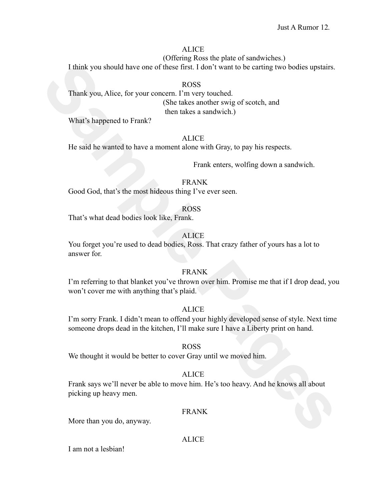## ALICE

(Offering Ross the plate of sandwiches.)

I think you should have one of these first. I don't want to be carting two bodies upstairs.

Think you should have one of these first. I don't want to be earting two bodies upstairs.<br>
Thank you, Alice, for your enneern Transvary touched<br>
(She takes another swig of secotch, and<br>
What's happenel to Frank?<br> **Sample P** ROSS Thank you, Alice, for your concern. I'm very touched. (She takes another swig of scotch, and then takes a sandwich.)

What's happened to Frank?

### ALICE

He said he wanted to have a moment alone with Gray, to pay his respects.

Frank enters, wolfing down a sandwich.

FRANK

Good God, that's the most hideous thing I've ever seen.

## ROSS

That's what dead bodies look like, Frank.

## ALICE

You forget you're used to dead bodies, Ross. That crazy father of yours has a lot to answer for.

# FRANK

I'm referring to that blanket you've thrown over him. Promise me that if I drop dead, you won't cover me with anything that's plaid.

## ALICE

I'm sorry Frank. I didn't mean to offend your highly developed sense of style. Next time someone drops dead in the kitchen, I'll make sure I have a Liberty print on hand.

## ROSS

We thought it would be better to cover Gray until we moved him.

## ALICE

Frank says we'll never be able to move him. He's too heavy. And he knows all about picking up heavy men.

## FRANK

More than you do, anyway.

## ALICE

I am not a lesbian!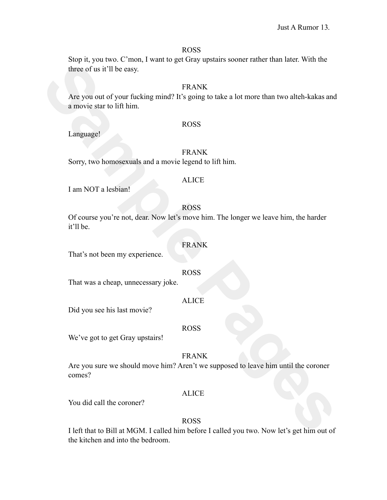#### ROSS

Stop it, you two. C'mon, I want to get Gray upstairs sooner rather than later. With the three of us it'll be easy.

## FRANK

FRANK<br>
Are you out of your fucking mind? It's going to take a lot more than two alteb-kakas and<br>
a movie star to lift him.<br> **SAMPLE PASES**<br> **Sample PASES**<br>
Sample Pages and a movie legend to lift him.<br> **SAMPLE PASES**<br>
Samp Are you out of your fucking mind? It's going to take a lot more than two alteh-kakas and a movie star to lift him.

#### ROSS

Language!

### FRANK

Sorry, two homosexuals and a movie legend to lift him.

#### ALICE

I am NOT a lesbian!

## ROSS

Of course you're not, dear. Now let's move him. The longer we leave him, the harder it'll be.

### FRANK

That's not been my experience.

#### ROSS

That was a cheap, unnecessary joke.

#### ALICE

Did you see his last movie?

#### ROSS

We've got to get Gray upstairs!

FRANK

Are you sure we should move him? Aren't we supposed to leave him until the coroner comes?

### ALICE

You did call the coroner?

## ROSS

I left that to Bill at MGM. I called him before I called you two. Now let's get him out of the kitchen and into the bedroom.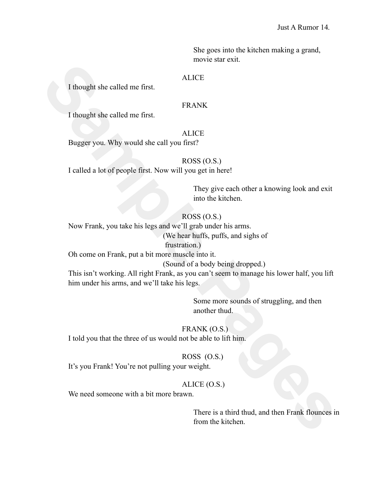She goes into the kitchen making a grand, movie star exit.

### **ALICE**

I thought she called me first.

## FRANK

I thought she called me first.

### ALICE

Bugger you. Why would she call you first?

# ROSS (O.S.)

I called a lot of people first. Now will you get in here!

They give each other a knowing look and exit into the kitchen.

## ROSS (O.S.)

Now Frank, you take his legs and we'll grab under his arms.

(We hear huffs, puffs, and sighs of

### frustration.)

Oh come on Frank, put a bit more muscle into it.

(Sound of a body being dropped.)

**Sample All the called me first.**<br> **SAMPLE ALLOCE TRANCE THEAD ALLOCE PROPERTION** SURFAMPLE PROPERTIES THEAD ALLOCE PROPERTIES THE CHANGE THE TRANCE THE TRANCE THE TRANCE THE TRANCE THE TRANCE THE TRANCE THE TRANCE THE TRA This isn't working. All right Frank, as you can't seem to manage his lower half, you lift him under his arms, and we'll take his legs.

Some more sounds of struggling, and then another thud.

## FRANK (O.S.)

I told you that the three of us would not be able to lift him.

### ROSS (O.S.)

It's you Frank! You're not pulling your weight.

## ALICE (O.S.)

We need someone with a bit more brawn.

There is a third thud, and then Frank flounces in from the kitchen.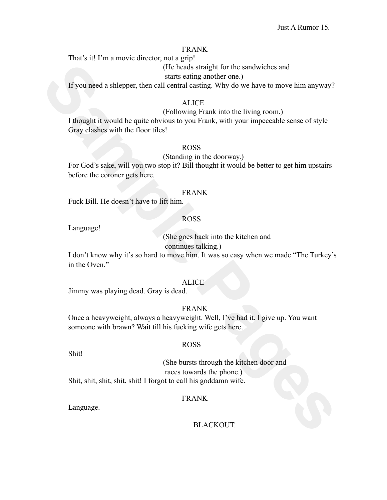That's it! I'm a movie director, not a grip!

(He heads straight for the sandwiches and

starts eating another one.)

If you need a shlepper, then call central casting. Why do we have to move him anyway?

### ALICE

### (Following Frank into the living room.)

(He books straigth for the sandwichts and<br> **Sample Pages** and the straight and entand easing another one)<br> **SAMPLE CONDEND**<br>
(Following Frank into the living room)<br> **SAMPLE PAGES**<br>
(Following Frank into the living room)<br> I thought it would be quite obvious to you Frank, with your impeccable sense of style – Gray clashes with the floor tiles!

## ROSS

## (Standing in the doorway.)

For God's sake, will you two stop it? Bill thought it would be better to get him upstairs before the coroner gets here.

#### FRANK

Fuck Bill. He doesn't have to lift him.

## ROSS

Language!

(She goes back into the kitchen and

continues talking.)

I don't know why it's so hard to move him. It was so easy when we made "The Turkey's in the Oven."

### ALICE

Jimmy was playing dead. Gray is dead.

### FRANK

Once a heavyweight, always a heavyweight. Well, I've had it. I give up. You want someone with brawn? Wait till his fucking wife gets here.

## ROSS

Shit!

(She bursts through the kitchen door and races towards the phone.) Shit, shit, shit, shit, shit! I forgot to call his goddamn wife.

### FRANK

Language.

### BLACKOUT.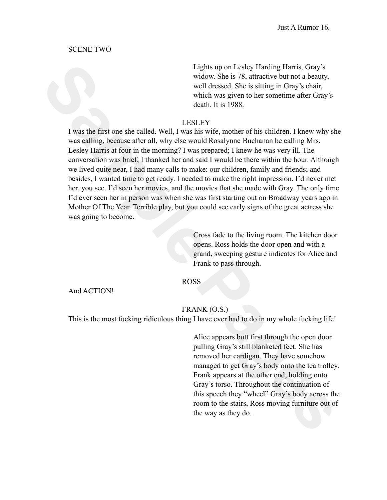### SCENE TWO

Lights up on Lesley Harding Harris, Gray's widow. She is 78, attractive but not a beauty, well dressed. She is sitting in Gray's chair, which was given to her sometime after Gray's death. It is 1988.

### LESLEY

**Sample The Sample Sample (Sample Harmon Less) Harmon Light supportions (Sample The Sample Weild measure of the sample pages) with the sample pages of the sample of the sample of the sample of the sample of the sample of t** I was the first one she called. Well, I was his wife, mother of his children. I knew why she was calling, because after all, why else would Rosalynne Buchanan be calling Mrs. Lesley Harris at four in the morning? I was prepared; I knew he was very ill. The conversation was brief; I thanked her and said I would be there within the hour. Although we lived quite near, I had many calls to make: our children, family and friends; and besides, I wanted time to get ready. I needed to make the right impression. I'd never met her, you see. I'd seen her movies, and the movies that she made with Gray. The only time I'd ever seen her in person was when she was first starting out on Broadway years ago in Mother Of The Year. Terrible play, but you could see early signs of the great actress she was going to become.

Cross fade to the living room. The kitchen door opens. Ross holds the door open and with a grand, sweeping gesture indicates for Alice and Frank to pass through.

### ROSS

And ACTION!

## FRANK (O.S.)

This is the most fucking ridiculous thing I have ever had to do in my whole fucking life!

Alice appears butt first through the open door pulling Gray's still blanketed feet. She has removed her cardigan. They have somehow managed to get Gray's body onto the tea trolley. Frank appears at the other end, holding onto Gray's torso. Throughout the continuation of this speech they "wheel" Gray's body across the room to the stairs, Ross moving furniture out of the way as they do.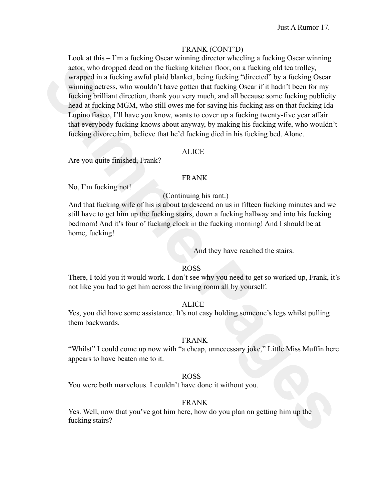## FRANK (CONT'D)

ator, who dronpod dead on the funching kincknon floor, on a funching oid tea rotaly, wurped in a funcking oid to the compart wurped action of the soften in the soften in the soften in the soften in the soften in the soften Look at this – I'm a fucking Oscar winning director wheeling a fucking Oscar winning actor, who dropped dead on the fucking kitchen floor, on a fucking old tea trolley, wrapped in a fucking awful plaid blanket, being fucking "directed" by a fucking Oscar winning actress, who wouldn't have gotten that fucking Oscar if it hadn't been for my fucking brilliant direction, thank you very much, and all because some fucking publicity head at fucking MGM, who still owes me for saving his fucking ass on that fucking Ida Lupino fiasco, I'll have you know, wants to cover up a fucking twenty-five year affair that everybody fucking knows about anyway, by making his fucking wife, who wouldn't fucking divorce him, believe that he'd fucking died in his fucking bed. Alone.

### ALICE

Are you quite finished, Frank?

### FRANK

No, I'm fucking not!

(Continuing his rant.)

And that fucking wife of his is about to descend on us in fifteen fucking minutes and we still have to get him up the fucking stairs, down a fucking hallway and into his fucking bedroom! And it's four o' fucking clock in the fucking morning! And I should be at home, fucking!

And they have reached the stairs.

### ROSS

There, I told you it would work. I don't see why you need to get so worked up, Frank, it's not like you had to get him across the living room all by yourself.

## ALICE

Yes, you did have some assistance. It's not easy holding someone's legs whilst pulling them backwards.

## FRANK

"Whilst" I could come up now with "a cheap, unnecessary joke," Little Miss Muffin here appears to have beaten me to it.

## ROSS

You were both marvelous. I couldn't have done it without you.

## FRANK

Yes. Well, now that you've got him here, how do you plan on getting him up the fucking stairs?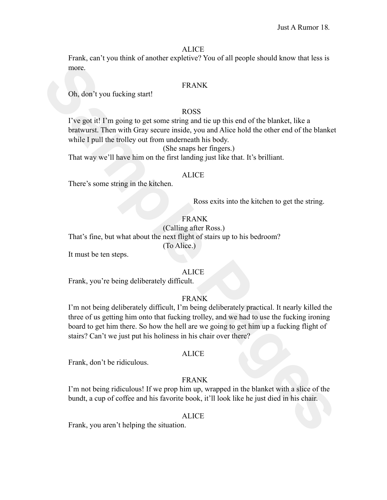#### ALICE

Frank, can't you think of another expletive? You of all people should know that less is more.

## FRANK

Oh, don't you fucking start!

# ROSS

I've got it! I'm going to get some string and tie up this end of the blanket, like a bratwurst. Then with Gray secure inside, you and Alice hold the other end of the blanket while I pull the trolley out from underneath his body.

(She snaps her fingers.)

That way we'll have him on the first landing just like that. It's brilliant.

#### ALICE

There's some string in the kitchen.

Ross exits into the kitchen to get the string.

# FRANK

(Calling after Ross.) That's fine, but what about the next flight of stairs up to his bedroom? (To Alice.)

It must be ten steps.

## ALICE

Frank, you're being deliberately difficult.

## FRANK

more.<br> **Sample Pages 1998**<br> **Sample Payer of the state of the blanket**<br> **Sample Payer (i) Frog** page sure similar and the state of the blanket<br>
blankets. Then with Gray seene maids, you and Alise hold the other end of th I'm not being deliberately difficult, I'm being deliberately practical. It nearly killed the three of us getting him onto that fucking trolley, and we had to use the fucking ironing board to get him there. So how the hell are we going to get him up a fucking flight of stairs? Can't we just put his holiness in his chair over there?

### ALICE

Frank, don't be ridiculous.

## FRANK

I'm not being ridiculous! If we prop him up, wrapped in the blanket with a slice of the bundt, a cup of coffee and his favorite book, it'll look like he just died in his chair.

#### ALICE

Frank, you aren't helping the situation.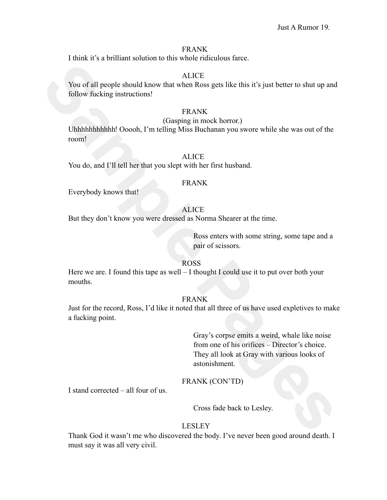I think it's a brilliant solution to this whole ridiculous farce.

## **ALICE**

You of all people should know that when Ross gets like this it's just better to shut up and follow fucking instructions!

## FRANK

#### (Gasping in mock horror.)

Uhhhhhhhhhhh! Ooooh, I'm telling Miss Buchanan you swore while she was out of the room!

## ALICE

You do, and I'll tell her that you slept with her first husband.

### FRANK

Everybody knows that!

# ALICE

But they don't know you were dressed as Norma Shearer at the time.

Ross enters with some string, some tape and a pair of scissors.

## ROSS

Here we are. I found this tape as well  $-1$  thought I could use it to put over both your mouths.

### FRANK

Just for the record, Ross, I'd like it noted that all three of us have used expletives to make a fucking point.

ATICE<br>
You of all people should know that when Ross gets like this it's just better to shut up and<br>
follow fucking instructions!<br>
FRANK<br>
Unhabhhhhhhh Oooch, I'm telling Miss Buchanan you swore while she was out of the<br>
TRA Gray's corpse emits a weird, whale like noise from one of his orifices – Director's choice. They all look at Gray with various looks of astonishment.

## FRANK (CON'TD)

I stand corrected – all four of us.

Cross fade back to Lesley.

### LESLEY

Thank God it wasn't me who discovered the body. I've never been good around death. I must say it was all very civil.